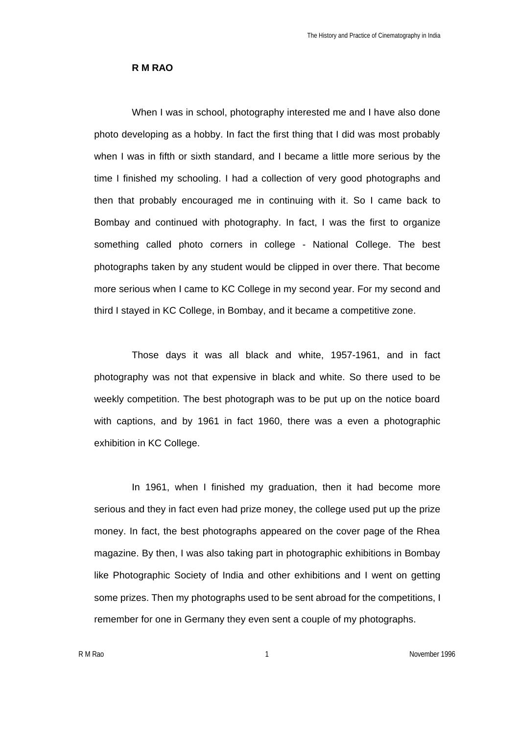## **R M RAO**

When I was in school, photography interested me and I have also done photo developing as a hobby. In fact the first thing that I did was most probably when I was in fifth or sixth standard, and I became a little more serious by the time I finished my schooling. I had a collection of very good photographs and then that probably encouraged me in continuing with it. So I came back to Bombay and continued with photography. In fact, I was the first to organize something called photo corners in college - National College. The best photographs taken by any student would be clipped in over there. That become more serious when I came to KC College in my second year. For my second and third I stayed in KC College, in Bombay, and it became a competitive zone.

Those days it was all black and white, 1957-1961, and in fact photography was not that expensive in black and white. So there used to be weekly competition. The best photograph was to be put up on the notice board with captions, and by 1961 in fact 1960, there was a even a photographic exhibition in KC College.

In 1961, when I finished my graduation, then it had become more serious and they in fact even had prize money, the college used put up the prize money. In fact, the best photographs appeared on the cover page of the Rhea magazine. By then, I was also taking part in photographic exhibitions in Bombay like Photographic Society of India and other exhibitions and I went on getting some prizes. Then my photographs used to be sent abroad for the competitions, I remember for one in Germany they even sent a couple of my photographs.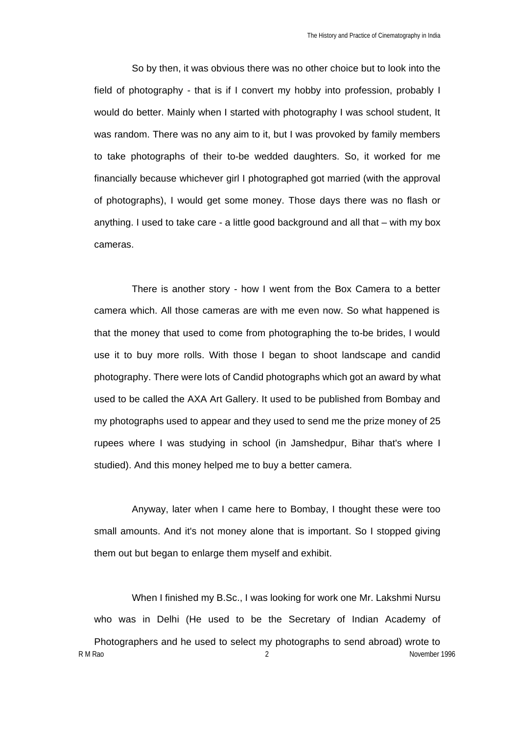So by then, it was obvious there was no other choice but to look into the field of photography - that is if I convert my hobby into profession, probably I would do better. Mainly when I started with photography I was school student, It was random. There was no any aim to it, but I was provoked by family members to take photographs of their to-be wedded daughters. So, it worked for me financially because whichever girl I photographed got married (with the approval of photographs), I would get some money. Those days there was no flash or anything. I used to take care - a little good background and all that – with my box cameras.

There is another story - how I went from the Box Camera to a better camera which. All those cameras are with me even now. So what happened is that the money that used to come from photographing the to-be brides, I would use it to buy more rolls. With those I began to shoot landscape and candid photography. There were lots of Candid photographs which got an award by what used to be called the AXA Art Gallery. It used to be published from Bombay and my photographs used to appear and they used to send me the prize money of 25 rupees where I was studying in school (in Jamshedpur, Bihar that's where I studied). And this money helped me to buy a better camera.

Anyway, later when I came here to Bombay, I thought these were too small amounts. And it's not money alone that is important. So I stopped giving them out but began to enlarge them myself and exhibit.

R M Rao 2 November 1996 When I finished my B.Sc., I was looking for work one Mr. Lakshmi Nursu who was in Delhi (He used to be the Secretary of Indian Academy of Photographers and he used to select my photographs to send abroad) wrote to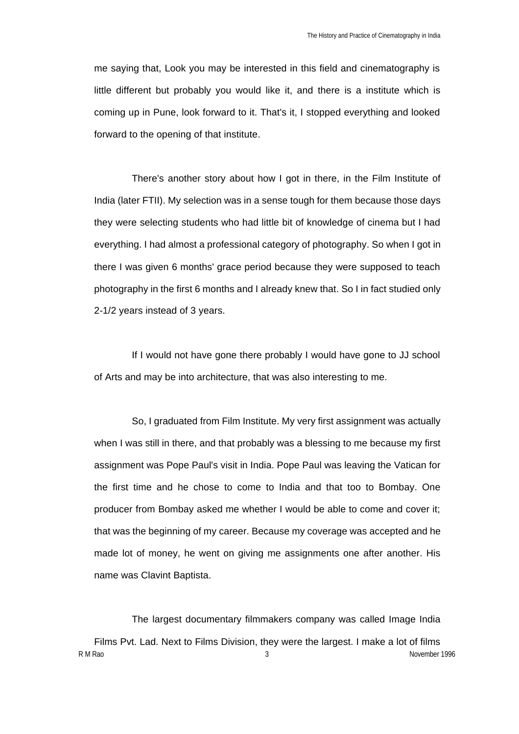me saying that, Look you may be interested in this field and cinematography is little different but probably you would like it, and there is a institute which is coming up in Pune, look forward to it. That's it, I stopped everything and looked forward to the opening of that institute.

There's another story about how I got in there, in the Film Institute of India (later FTII). My selection was in a sense tough for them because those days they were selecting students who had little bit of knowledge of cinema but I had everything. I had almost a professional category of photography. So when I got in there I was given 6 months' grace period because they were supposed to teach photography in the first 6 months and I already knew that. So I in fact studied only 2-1/2 years instead of 3 years.

If I would not have gone there probably I would have gone to JJ school of Arts and may be into architecture, that was also interesting to me.

So, I graduated from Film Institute. My very first assignment was actually when I was still in there, and that probably was a blessing to me because my first assignment was Pope Paul's visit in India. Pope Paul was leaving the Vatican for the first time and he chose to come to India and that too to Bombay. One producer from Bombay asked me whether I would be able to come and cover it; that was the beginning of my career. Because my coverage was accepted and he made lot of money, he went on giving me assignments one after another. His name was Clavint Baptista.

R M Rao 3 November 1996 The largest documentary filmmakers company was called Image India Films Pvt. Lad. Next to Films Division, they were the largest. I make a lot of films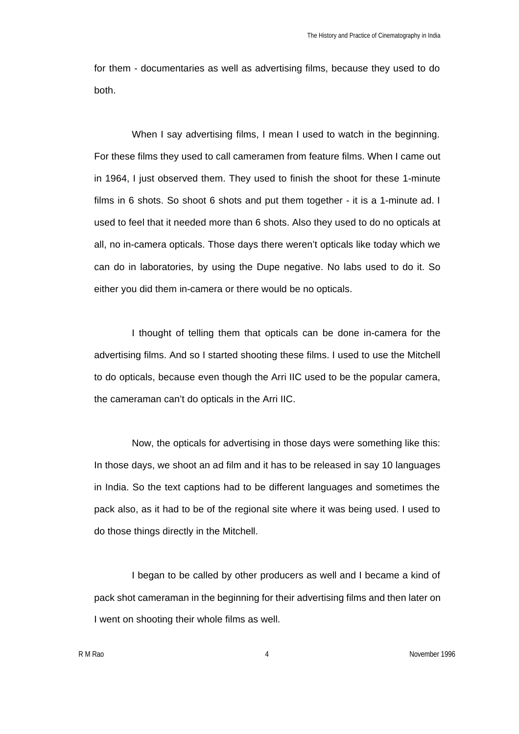for them - documentaries as well as advertising films, because they used to do both.

When I say advertising films, I mean I used to watch in the beginning. For these films they used to call cameramen from feature films. When I came out in 1964, I just observed them. They used to finish the shoot for these 1-minute films in 6 shots. So shoot 6 shots and put them together - it is a 1-minute ad. I used to feel that it needed more than 6 shots. Also they used to do no opticals at all, no in-camera opticals. Those days there weren't opticals like today which we can do in laboratories, by using the Dupe negative. No labs used to do it. So either you did them in-camera or there would be no opticals.

I thought of telling them that opticals can be done in-camera for the advertising films. And so I started shooting these films. I used to use the Mitchell to do opticals, because even though the Arri IIC used to be the popular camera, the cameraman can't do opticals in the Arri IIC.

Now, the opticals for advertising in those days were something like this: In those days, we shoot an ad film and it has to be released in say 10 languages in India. So the text captions had to be different languages and sometimes the pack also, as it had to be of the regional site where it was being used. I used to do those things directly in the Mitchell.

I began to be called by other producers as well and I became a kind of pack shot cameraman in the beginning for their advertising films and then later on I went on shooting their whole films as well.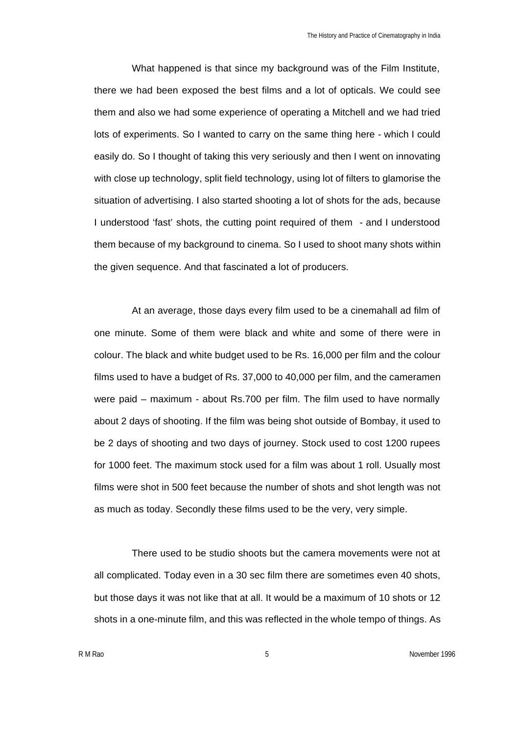What happened is that since my background was of the Film Institute, there we had been exposed the best films and a lot of opticals. We could see them and also we had some experience of operating a Mitchell and we had tried lots of experiments. So I wanted to carry on the same thing here - which I could easily do. So I thought of taking this very seriously and then I went on innovating with close up technology, split field technology, using lot of filters to glamorise the situation of advertising. I also started shooting a lot of shots for the ads, because I understood 'fast' shots, the cutting point required of them - and I understood them because of my background to cinema. So I used to shoot many shots within the given sequence. And that fascinated a lot of producers.

At an average, those days every film used to be a cinemahall ad film of one minute. Some of them were black and white and some of there were in colour. The black and white budget used to be Rs. 16,000 per film and the colour films used to have a budget of Rs. 37,000 to 40,000 per film, and the cameramen were paid – maximum - about Rs.700 per film. The film used to have normally about 2 days of shooting. If the film was being shot outside of Bombay, it used to be 2 days of shooting and two days of journey. Stock used to cost 1200 rupees for 1000 feet. The maximum stock used for a film was about 1 roll. Usually most films were shot in 500 feet because the number of shots and shot length was not as much as today. Secondly these films used to be the very, very simple.

There used to be studio shoots but the camera movements were not at all complicated. Today even in a 30 sec film there are sometimes even 40 shots, but those days it was not like that at all. It would be a maximum of 10 shots or 12 shots in a one-minute film, and this was reflected in the whole tempo of things. As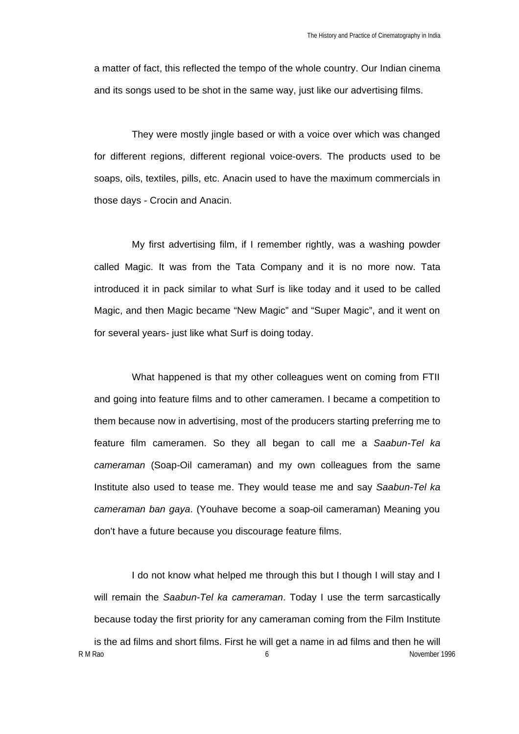a matter of fact, this reflected the tempo of the whole country. Our Indian cinema and its songs used to be shot in the same way, just like our advertising films.

They were mostly jingle based or with a voice over which was changed for different regions, different regional voice-overs. The products used to be soaps, oils, textiles, pills, etc. Anacin used to have the maximum commercials in those days - Crocin and Anacin.

My first advertising film, if I remember rightly, was a washing powder called Magic. It was from the Tata Company and it is no more now. Tata introduced it in pack similar to what Surf is like today and it used to be called Magic, and then Magic became "New Magic" and "Super Magic", and it went on for several years- just like what Surf is doing today.

What happened is that my other colleagues went on coming from FTII and going into feature films and to other cameramen. I became a competition to them because now in advertising, most of the producers starting preferring me to feature film cameramen. So they all began to call me a *Saabun-Tel ka cameraman* (Soap-Oil cameraman) and my own colleagues from the same Institute also used to tease me. They would tease me and say *Saabun-Tel ka cameraman ban gaya*. (Youhave become a soap-oil cameraman) Meaning you don't have a future because you discourage feature films.

R M Rao **6** November 1996 I do not know what helped me through this but I though I will stay and I will remain the *Saabun-Tel ka cameraman*. Today I use the term sarcastically because today the first priority for any cameraman coming from the Film Institute is the ad films and short films. First he will get a name in ad films and then he will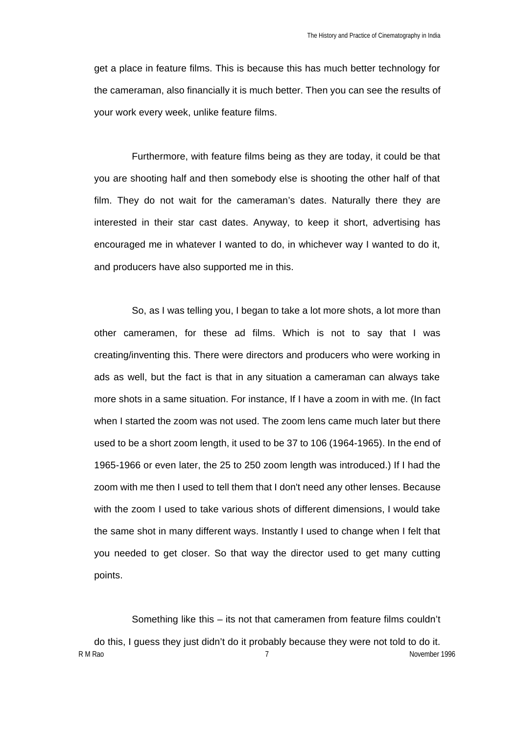get a place in feature films. This is because this has much better technology for the cameraman, also financially it is much better. Then you can see the results of your work every week, unlike feature films.

Furthermore, with feature films being as they are today, it could be that you are shooting half and then somebody else is shooting the other half of that film. They do not wait for the cameraman's dates. Naturally there they are interested in their star cast dates. Anyway, to keep it short, advertising has encouraged me in whatever I wanted to do, in whichever way I wanted to do it, and producers have also supported me in this.

So, as I was telling you, I began to take a lot more shots, a lot more than other cameramen, for these ad films. Which is not to say that I was creating/inventing this. There were directors and producers who were working in ads as well, but the fact is that in any situation a cameraman can always take more shots in a same situation. For instance, If I have a zoom in with me. (In fact when I started the zoom was not used. The zoom lens came much later but there used to be a short zoom length, it used to be 37 to 106 (1964-1965). In the end of 1965-1966 or even later, the 25 to 250 zoom length was introduced.) If I had the zoom with me then I used to tell them that I don't need any other lenses. Because with the zoom I used to take various shots of different dimensions, I would take the same shot in many different ways. Instantly I used to change when I felt that you needed to get closer. So that way the director used to get many cutting points.

Something like this – its not that cameramen from feature films couldn't

R M Rao **7** November 1996 do this, I guess they just didn't do it probably because they were not told to do it.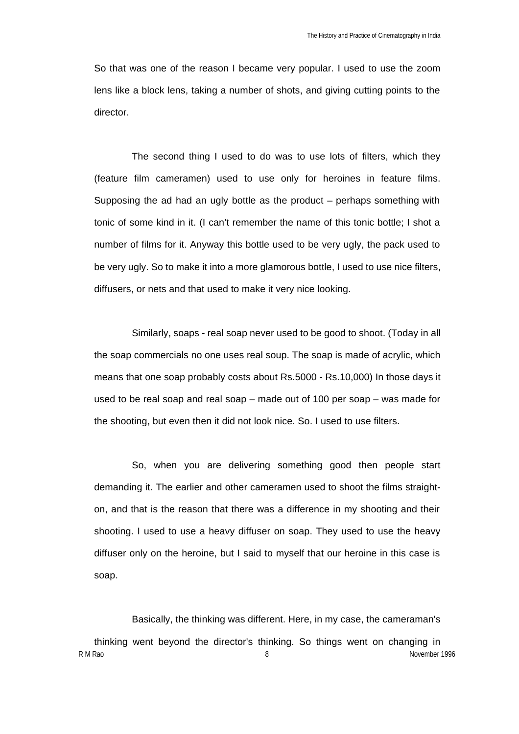So that was one of the reason I became very popular. I used to use the zoom lens like a block lens, taking a number of shots, and giving cutting points to the director.

The second thing I used to do was to use lots of filters, which they (feature film cameramen) used to use only for heroines in feature films. Supposing the ad had an ugly bottle as the product – perhaps something with tonic of some kind in it. (I can't remember the name of this tonic bottle; I shot a number of films for it. Anyway this bottle used to be very ugly, the pack used to be very ugly. So to make it into a more glamorous bottle, I used to use nice filters, diffusers, or nets and that used to make it very nice looking.

Similarly, soaps - real soap never used to be good to shoot. (Today in all the soap commercials no one uses real soup. The soap is made of acrylic, which means that one soap probably costs about Rs.5000 - Rs.10,000) In those days it used to be real soap and real soap – made out of 100 per soap – was made for the shooting, but even then it did not look nice. So. I used to use filters.

So, when you are delivering something good then people start demanding it. The earlier and other cameramen used to shoot the films straighton, and that is the reason that there was a difference in my shooting and their shooting. I used to use a heavy diffuser on soap. They used to use the heavy diffuser only on the heroine, but I said to myself that our heroine in this case is soap.

Basically, the thinking was different. Here, in my case, the cameraman's

R M Rao 8 November 1996 thinking went beyond the director's thinking. So things went on changing in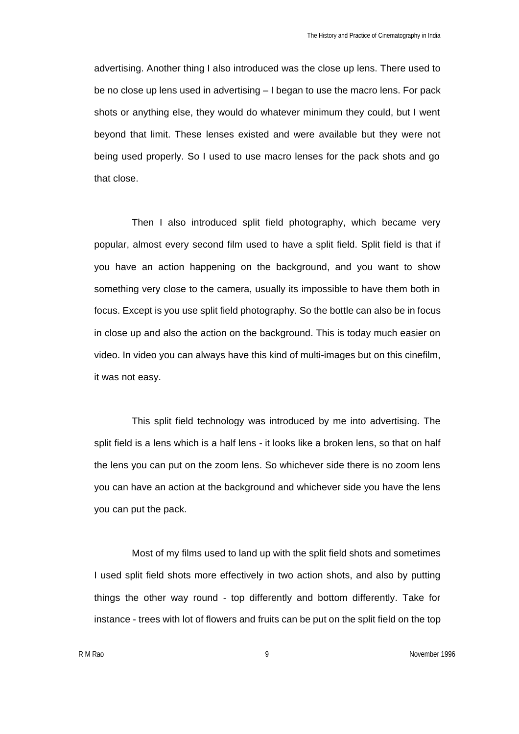advertising. Another thing I also introduced was the close up lens. There used to be no close up lens used in advertising – I began to use the macro lens. For pack shots or anything else, they would do whatever minimum they could, but I went beyond that limit. These lenses existed and were available but they were not being used properly. So I used to use macro lenses for the pack shots and go that close.

Then I also introduced split field photography, which became very popular, almost every second film used to have a split field. Split field is that if you have an action happening on the background, and you want to show something very close to the camera, usually its impossible to have them both in focus. Except is you use split field photography. So the bottle can also be in focus in close up and also the action on the background. This is today much easier on video. In video you can always have this kind of multi-images but on this cinefilm, it was not easy.

This split field technology was introduced by me into advertising. The split field is a lens which is a half lens - it looks like a broken lens, so that on half the lens you can put on the zoom lens. So whichever side there is no zoom lens you can have an action at the background and whichever side you have the lens you can put the pack.

Most of my films used to land up with the split field shots and sometimes I used split field shots more effectively in two action shots, and also by putting things the other way round - top differently and bottom differently. Take for instance - trees with lot of flowers and fruits can be put on the split field on the top